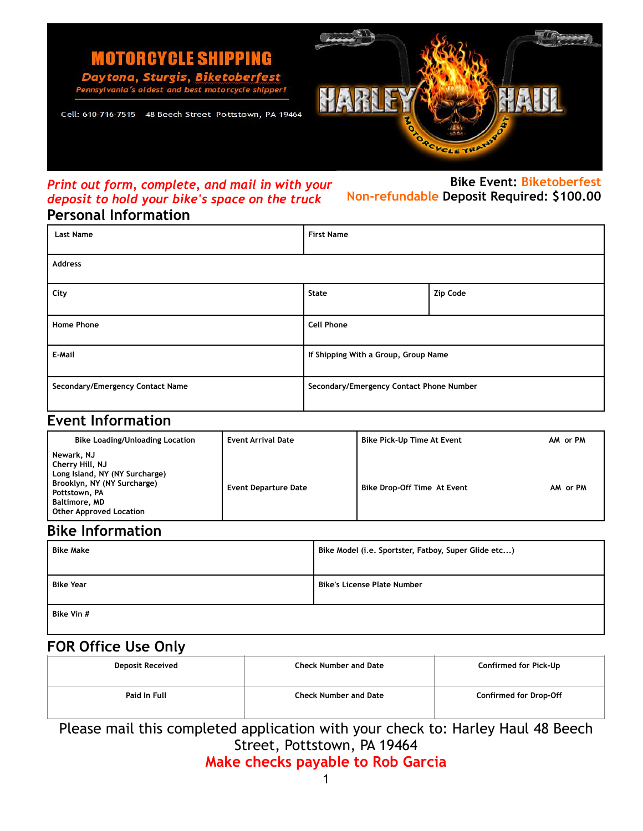**MOTORCYCLE SHIPPING** 

ytona, Sturgis, Biketoberfest best motorcycle shipper!



Cell: 610-716-7515 48 Beech Street Pottstown, PA 19464

## *Print out form, complete, and mail in with your deposit to hold your bike's space on the truck*  **Personal Information**

**Bike Event: Biketoberfest Non-refundable Deposit Required: \$100.00** 

| <b>Last Name</b>                 | <b>First Name</b>                        |                 |  |  |
|----------------------------------|------------------------------------------|-----------------|--|--|
| <b>Address</b>                   |                                          |                 |  |  |
| City                             | <b>State</b>                             | <b>Zip Code</b> |  |  |
| <b>Home Phone</b>                | <b>Cell Phone</b>                        |                 |  |  |
| E-Mail                           | If Shipping With a Group, Group Name     |                 |  |  |
| Secondary/Emergency Contact Name | Secondary/Emergency Contact Phone Number |                 |  |  |

## **Event Information**

| <b>Bike Loading/Unloading Location</b>                                                                                                                                    | <b>Event Arrival Date</b>   | <b>Bike Pick-Up Time At Event</b>  | AM or PM |
|---------------------------------------------------------------------------------------------------------------------------------------------------------------------------|-----------------------------|------------------------------------|----------|
| Newark, NJ<br>Cherry Hill, NJ<br>Long Island, NY (NY Surcharge)<br>Brooklyn, NY (NY Surcharge)<br>Pottstown, PA<br><b>Baltimore, MD</b><br><b>Other Approved Location</b> | <b>Event Departure Date</b> | <b>Bike Drop-Off Time At Event</b> | AM or PM |

## **Bike Information**

| <b>Bike Make</b> | Bike Model (i.e. Sportster, Fatboy, Super Glide etc) |  |
|------------------|------------------------------------------------------|--|
| <b>Bike Year</b> | <b>Bike's License Plate Number</b>                   |  |
| Bike Vin #       |                                                      |  |

# **FOR Office Use Only**

| <b>Deposit Received</b> | <b>Check Number and Date</b> | Confirmed for Pick-Up         |
|-------------------------|------------------------------|-------------------------------|
| Paid In Full            | <b>Check Number and Date</b> | <b>Confirmed for Drop-Off</b> |

Please mail this completed application with your check to: Harley Haul 48 Beech Street, Pottstown, PA 19464 **Make checks payable to Rob Garcia**

1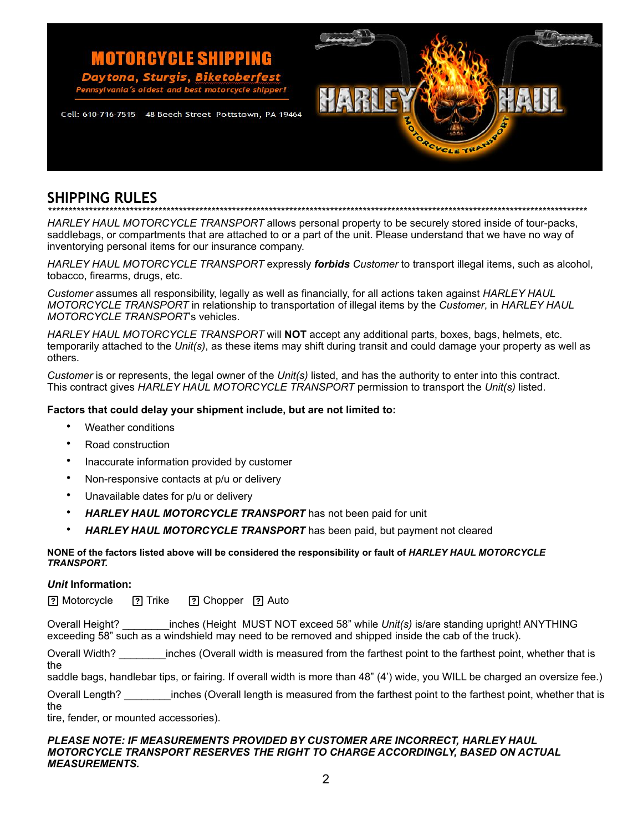## **MOTORCYCLE SHIPPING** ona. Sturgis. best motorcycle sh

Cell: 610-716-7515 48 Beech Street Pottstown, PA 19464



# **SHIPPING RULES**

*\*\*\*\*\*\*\*\*\*\*\*\*\*\*\*\*\*\*\*\*\*\*\*\*\*\*\*\*\*\*\*\*\*\*\*\*\*\*\*\*\*\*\*\*\*\*\*\*\*\*\*\*\*\*\*\*\*\*\*\*\*\*\*\*\*\*\*\*\*\*\*\*\*\*\*\*\*\*\*\*\*\*\*\*\*\*\*\*\*\*\*\*\*\*\*\*\*\*\*\*\*\*\*\*\*\*\*\*\*\*\*\*\*\*\*\*\*\*\*\*\*\*\*\*\*\*\*\*\*\*\*\** 

*HARLEY HAUL MOTORCYCLE TRANSPORT* allows personal property to be securely stored inside of tour-packs, saddlebags, or compartments that are attached to or a part of the unit. Please understand that we have no way of inventorying personal items for our insurance company.

*HARLEY HAUL MOTORCYCLE TRANSPORT* expressly *forbids Customer* to transport illegal items, such as alcohol, tobacco, firearms, drugs, etc.

*Customer* assumes all responsibility, legally as well as financially, for all actions taken against *HARLEY HAUL MOTORCYCLE TRANSPORT* in relationship to transportation of illegal items by the *Customer*, in *HARLEY HAUL MOTORCYCLE TRANSPORT*'s vehicles.

*HARLEY HAUL MOTORCYCLE TRANSPORT* will **NOT** accept any additional parts, boxes, bags, helmets, etc. temporarily attached to the *Unit(s)*, as these items may shift during transit and could damage your property as well as others.

*Customer* is or represents, the legal owner of the *Unit(s)* listed, and has the authority to enter into this contract. This contract gives *HARLEY HAUL MOTORCYCLE TRANSPORT* permission to transport the *Unit(s)* listed.

### **Factors that could delay your shipment include, but are not limited to:**

- Weather conditions
- Road construction
- Inaccurate information provided by customer
- Non-responsive contacts at p/u or delivery
- Unavailable dates for p/u or delivery
- *HARLEY HAUL MOTORCYCLE TRANSPORT* has not been paid for unit
- *HARLEY HAUL MOTORCYCLE TRANSPORT* has been paid, but payment not cleared

### **NONE of the factors listed above will be considered the responsibility or fault of** *HARLEY HAUL MOTORCYCLE TRANSPORT.*

### *Unit* **Information:**

? Motorcycle <sup>?</sup> Trike <sup>?</sup> Chopper ? Auto

Overall Height? \_\_\_\_\_\_\_\_inches (Height MUST NOT exceed 58" while *Unit(s)* is/are standing upright! ANYTHING exceeding 58" such as a windshield may need to be removed and shipped inside the cab of the truck).

Overall Width? \_\_\_\_\_\_\_\_inches (Overall width is measured from the farthest point to the farthest point, whether that is the

saddle bags, handlebar tips, or fairing. If overall width is more than 48" (4') wide, you WILL be charged an oversize fee.)

Overall Length? \_\_\_\_\_\_\_\_inches (Overall length is measured from the farthest point to the farthest point, whether that is the

tire, fender, or mounted accessories).

#### *PLEASE NOTE: IF MEASUREMENTS PROVIDED BY CUSTOMER ARE INCORRECT, HARLEY HAUL MOTORCYCLE TRANSPORT RESERVES THE RIGHT TO CHARGE ACCORDINGLY, BASED ON ACTUAL MEASUREMENTS.*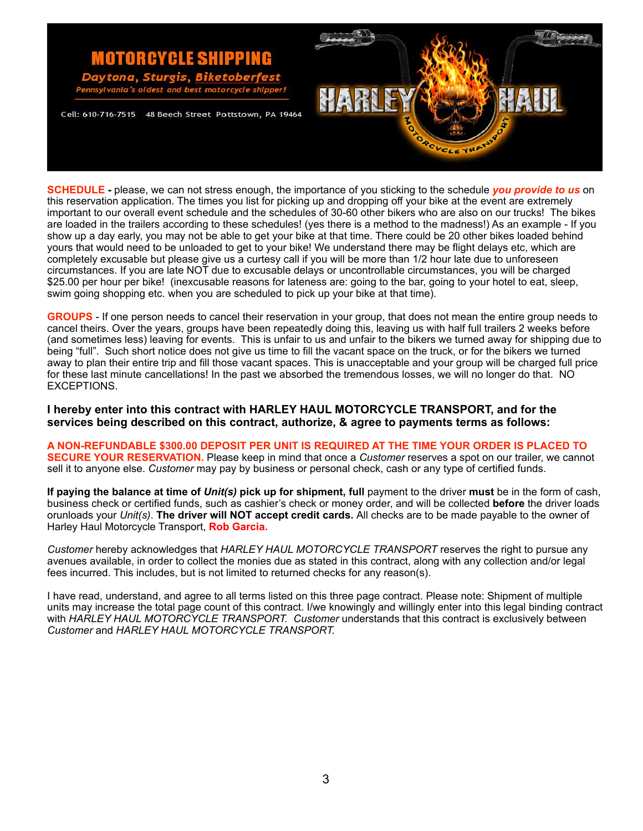

**SCHEDULE** *-* please, we can not stress enough, the importance of you sticking to the schedule *you provide to us* on this reservation application. The times you list for picking up and dropping off your bike at the event are extremely important to our overall event schedule and the schedules of 30-60 other bikers who are also on our trucks! The bikes are loaded in the trailers according to these schedules! (yes there is a method to the madness!) As an example - If you show up a day early, you may not be able to get your bike at that time. There could be 20 other bikes loaded behind yours that would need to be unloaded to get to your bike! We understand there may be flight delays etc, which are completely excusable but please give us a curtesy call if you will be more than 1/2 hour late due to unforeseen circumstances. If you are late NOT due to excusable delays or uncontrollable circumstances, you will be charged \$25.00 per hour per bike! (inexcusable reasons for lateness are: going to the bar, going to your hotel to eat, sleep, swim going shopping etc. when you are scheduled to pick up your bike at that time).

**GROUPS** - If one person needs to cancel their reservation in your group, that does not mean the entire group needs to cancel theirs. Over the years, groups have been repeatedly doing this, leaving us with half full trailers 2 weeks before (and sometimes less) leaving for events. This is unfair to us and unfair to the bikers we turned away for shipping due to being "full". Such short notice does not give us time to fill the vacant space on the truck, or for the bikers we turned away to plan their entire trip and fill those vacant spaces. This is unacceptable and your group will be charged full price for these last minute cancellations! In the past we absorbed the tremendous losses, we will no longer do that. NO EXCEPTIONS.

**I hereby enter into this contract with HARLEY HAUL MOTORCYCLE TRANSPORT, and for the services being described on this contract, authorize, & agree to payments terms as follows:**

**A NON-REFUNDABLE \$300.00 DEPOSIT PER UNIT IS REQUIRED AT THE TIME YOUR ORDER IS PLACED TO SECURE YOUR RESERVATION.** Please keep in mind that once a *Customer* reserves a spot on our trailer, we cannot sell it to anyone else. *Customer* may pay by business or personal check, cash or any type of certified funds.

**If paying the balance at time of** *Unit(s)* **pick up for shipment, full** payment to the driver **must** be in the form of cash, business check or certified funds, such as cashier's check or money order, and will be collected **before** the driver loads orunloads your *Unit(s)*. **The driver will NOT accept credit cards.** All checks are to be made payable to the owner of Harley Haul Motorcycle Transport, **Rob Garcia.** 

*Customer* hereby acknowledges that *HARLEY HAUL MOTORCYCLE TRANSPORT* reserves the right to pursue any avenues available, in order to collect the monies due as stated in this contract, along with any collection and/or legal fees incurred. This includes, but is not limited to returned checks for any reason(s).

I have read, understand, and agree to all terms listed on this three page contract. Please note: Shipment of multiple units may increase the total page count of this contract. I/we knowingly and willingly enter into this legal binding contract with *HARLEY HAUL MOTORCYCLE TRANSPORT. Customer* understands that this contract is exclusively between *Customer* and *HARLEY HAUL MOTORCYCLE TRANSPORT.*